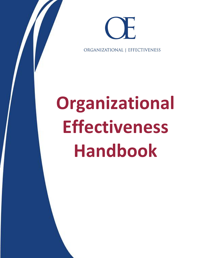

ORGANIZATIONAL | EFFECTIVENESS

# Organizational Effectiveness Handbook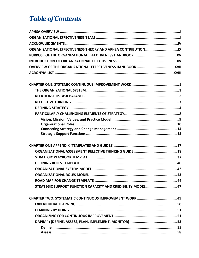# **Table of Contents**

| STRATEGIC SUPPORT FUNCTION CAPACITY AND CREDIBILITY MODEL  47 |  |
|---------------------------------------------------------------|--|
|                                                               |  |
|                                                               |  |
|                                                               |  |
|                                                               |  |
|                                                               |  |
|                                                               |  |
|                                                               |  |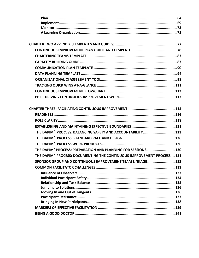| THE DAPIM <sup>TH</sup> PROCESS: BALANCING SAFETY AND ACCOUNTABILITY  123           |
|-------------------------------------------------------------------------------------|
|                                                                                     |
|                                                                                     |
| THE DAPIM <sup>TH</sup> PROCESS: PREPARATION AND PLANNING FOR SESSIONS 130          |
| THE DAPIM <sup>"</sup> PROCESS: DOCUMENTING THE CONTINUOUS IMPROVEMENT PROCESS  131 |
| SPONSOR GROUP AND CONTINUOUS IMPROVEMENT TEAM LINKAGE 132                           |
|                                                                                     |
|                                                                                     |
|                                                                                     |
|                                                                                     |
|                                                                                     |
|                                                                                     |
|                                                                                     |
|                                                                                     |
|                                                                                     |
|                                                                                     |
|                                                                                     |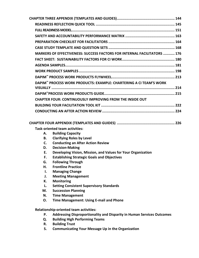| <b>MARKERS OF EFFECTIVENESS: SUCCESS FACTORS FOR INTERNAL FACILITATORS  176</b> |  |
|---------------------------------------------------------------------------------|--|
|                                                                                 |  |
|                                                                                 |  |
|                                                                                 |  |
|                                                                                 |  |
| DAPIM <sup>T</sup> PROCESS WORK PRODUCTS: EXAMPLE: CHARTERING A CI TEAM'S WORK  |  |
|                                                                                 |  |
|                                                                                 |  |
| <b>CHAPTER FOUR: CONTINUOUSLY IMPROVING FROM THE INSIDE OUT</b>                 |  |
|                                                                                 |  |
|                                                                                 |  |
|                                                                                 |  |

#### CHAPTER FOUR APPENDIX (TEMPLATES AND GUIDES) ....................................................... 226

Task-oriented team activities:

- A. Building Capacity
- B. Clarifying Roles by Level
- C. Conducting an After Action Review
- D. Decision-Making
- E. Developing Vision, Mission, and Values for Your Organization
- F. Establishing Strategic Goals and Objectives
- G. Following Through
- H. Frontline Practice
- I. Managing Change
- J. Meeting Management
- K. Monitoring
- L. Setting Consistent Supervisory Standards
- M. Succession Planning
- N. Time Management
- O. Time Management: Using E-mail and Phone

Relationship-oriented team activities:

- P. Addressing Disproportionality and Disparity in Human Services Outcomes
- Q. Building High Performing Teams
- R. Building Trust
- S. Communicating Your Message Up in the Organization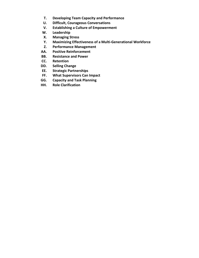- T. Developing Team Capacity and Performance
- U. Difficult, Courageous Conversations
- V. Establishing a Culture of Empowerment
- W. Leadership
- X. Managing Stress
- Y. Maximizing Effectiveness of a Multi-Generational Workforce
- Z. Performance Management
- AA. Positive Reinforcement
- BB. Resistance and Power
- CC. Retention
- DD. Selling Change
- EE. Strategic Partnerships
- FF. What Supervisors Can Impact
- GG. Capacity and Task Planning
- HH. Role Clarification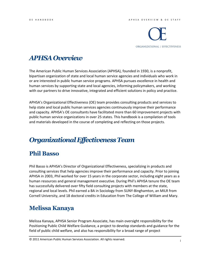

## **APHSA Overview**

The American Public Human Services Association (APHSA), founded in 1930, is a nonprofit, bipartisan organization of state and local human service agencies and individuals who work in or are interested in public human service programs. APHSA pursues excellence in health and human services by supporting state and local agencies, informing policymakers, and working with our partners to drive innovative, integrated and efficient solutions in policy and practice.

APHSA's Organizational Effectiveness (OE) team provides consulting products and services to help state and local public human services agencies continuously improve their performance and capacity. APHSA's OE consultants have facilitated more than 60 improvement projects with public human service organizations in over 25 states. This handbook is a compilation of tools and materials developed in the course of completing and reflecting on those projects.

# Organizational Effectiveness Team

## Phil Basso

Phil Basso is APHSA's Director of Organizational Effectiveness, specializing in products and consulting services that help agencies improve their performance and capacity. Prior to joining APHSA in 2003, Phil worked for over 15 years in the corporate sector, including eight years as a human resources and general management executive. During Phil's APHSA tenure the OE team has successfully delivered over fifty field consulting projects with members at the state, regional and local levels. Phil earned a BA in Sociology from SUNY-Binghamton, an MILR from Cornell University, and 18 doctoral credits in Education from The College of William and Mary.

## Melissa Kanaya

Melissa Kanaya, APHSA Senior Program Associate, has main oversight responsibility for the Positioning Public Child Welfare Guidance, a project to develop standards and guidance for the field of public child welfare, and also has responsibility for a broad range of project

© 2011 American Public Human Services Association. All rights reserved. i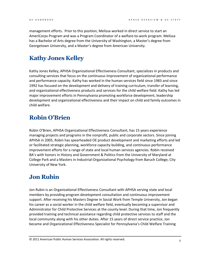management efforts. Prior to this position, Melissa worked in direct service to start an AmeriCorps Program and was a Program Coordinator of a welfare-to-work program. Melissa has a Bachelor of Arts degree from the University of Washington, a Master's degree from Georgetown University, and a Master's degree from American University.

## Kathy Jones Kelley

Kathy Jones Kelley, APHSA Organizational Effectiveness Consultant, specializes in products and consulting services that focus on the continuous improvement of organizational performance and performance capacity. Kathy has worked in the human services field since 1983 and since 1992 has focused on the development and delivery of training curriculum, transfer of learning, and organizational effectiveness products and services for the child welfare field. Kathy has led major improvement efforts in Pennsylvania promoting workforce development, leadership development and organizational effectiveness and their impact on child and family outcomes in child welfare.

## Robin O'Brien

Robin O'Brien, APHSA Organizational Effectiveness Consultant, has 15 years experience managing projects and programs in the nonprofit, public and corporate sectors. Since joining APHSA in 2005, Robin has spearheaded OE product development and marketing efforts and led or facilitated strategic planning, workforce capacity building, and continuous performance improvement efforts for a range of state and local human services agencies. Robin received BA's with honors in History and Government & Politics from the University of Maryland at College Park and a Masters in Industrial-Organizational Psychology from Baruch College, City University of New York.

## Jon Rubin

Jon Rubin is an Organizational Effectiveness Consultant with APHSA serving state and local members by providing program development consultation and continuous improvement support. After receiving his Masters Degree in Social Work from Temple University, Jon began his career as a social worker in the child welfare field, eventually becoming a supervisor and Administrator for Child Protective Services at the county level. During that time, Jon frequently provided training and technical assistance regarding child protective services to staff and the local community along with his other duties. After 15 years of direct service practice, Jon became and Organizational Effectiveness Specialist for Pennsylvania's Child Welfare Training

© 2011 American Public Human Services Association. All rights reserved. ii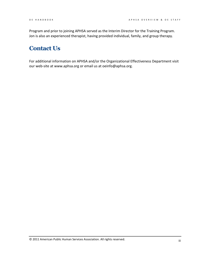Program and prior to joining APHSA served as the Interim Director for the Training Program. Jon is also an experienced therapist, having provided individual, family, and group therapy.

### Contact Us

For additional information on APHSA and/or the Organizational Effectiveness Department visit our web-site at www.aphsa.org or email us at oeinfo@aphsa.org.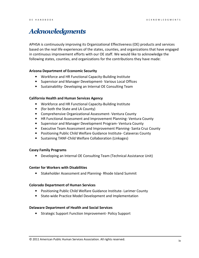## Acknowledgments

APHSA is continuously improving its Organizational Effectiveness (OE) products and services based on the real life experiences of the states, counties, and organizations that have engaged in continuous improvement efforts with our OE staff. We would like to acknowledge the following states, counties, and organizations for the contributions they have made:

#### Arizona Department of Economic Security

- Workforce and HR Functional Capacity-Building Institute
- Supervisor and Manager Development- Various Local Offices
- Sustainability- Developing an Internal OE Consulting Team

#### California Health and Human Services Agency

- Workforce and HR Functional Capacity-Building Institute
- (for both the State and LA County)
- Comprehensive Organizational Assessment- Ventura County
- HR Functional Assessment and Improvement Planning- Ventura County
- Supervisor and Manager Development Program- Ventura County
- Executive Team Assessment and Improvement Planning- Santa Cruz County
- Positioning Public Child Welfare Guidance Institute- Calaveras County
- Sustaining TANF-Child Welfare Collaboration (Linkages)

#### Casey Family Programs

• Developing an Internal OE Consulting Team (Technical Assistance Unit)

#### Center for Workers with Disabilities

• Stakeholder Assessment and Planning- Rhode Island Summit

#### Colorado Department of Human Services

- Positioning Public Child Welfare Guidance Institute- Larimer County
- State-wide Practice Model Development and Implementation

#### Delaware Department of Health and Social Services

• Strategic Support Function Improvement- Policy Support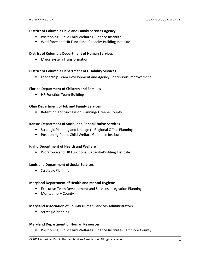#### District of Columbia Child and Family Services Agency

- Positioning Public Child Welfare Guidance Institute
- Workforce and HR Functional Capacity-Building Institute

#### District of Columbia Department of Human Services

• Major System Transformation

#### District of Columbia Department of Disability Services

• Leadership Team Development and Agency Continuous Improvement

#### Florida Department of Children and Families

• HR Function Team-Building

#### Ohio Department of Job and Family Services

• Retention and Succession Planning- Greene County

#### Kansas Department of Social and Rehabilitative Services

- Strategic Planning and Linkage to Regional Office Planning
- Positioning Public Child Welfare Guidance Institute

#### Idaho Department of Health and Welfare

• Workforce and HR Functional Capacity-Building Institute

#### Louisiana Department of Social Services

• Strategic Planning

#### Maryland Department of Health and Mental Hygiene

- Executive Team Development and Services Integration Planning-
- Montgomery County

#### Maryland Association of County Human Services Administrators

• Strategic Planning

#### Maryland Department of Human Resources

• Positioning Public Child Welfare Guidance Institute- Baltimore County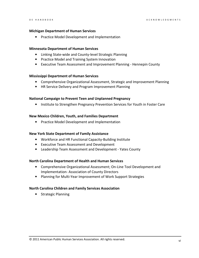#### Michigan Department of Human Services

• Practice Model Development and Implementation

#### Minnesota Department of Human Services

- Linking State-wide and County-level Strategic Planning
- Practice Model and Training System Innovation
- Executive Team Assessment and Improvement Planning Hennepin County

#### Mississippi Department of Human Services

- Comprehensive Organizational Assessment, Strategic and Improvement Planning
- HR Service Delivery and Program Improvement Planning

#### National Campaign to Prevent Teen and Unplanned Pregnancy

• Institute to Strengthen Pregnancy Prevention Services for Youth in Foster Care

#### New Mexico Children, Youth, and Families Department

• Practice Model Development and Implementation

#### New York State Department of Family Assistance

- Workforce and HR Functional Capacity-Building Institute
- Executive Team Assessment and Development
- Leadership Team Assessment and Development Yates County

#### North Carolina Department of Health and Human Services

- Comprehensive Organizational Assessment; On-Line Tool Development and Implementation- Association of County Directors
- Planning for Multi-Year Improvement of Work Support Strategies

#### North Carolina Children and Family Services Association

• Strategic Planning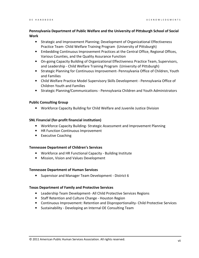#### Pennsylvania Department of Public Welfare and the University of Pittsburgh School of Social Work

- Strategic and Improvement Planning; Development of Organizational Effectiveness Practice Team- Child Welfare Training Program (University of Pittsburgh)
- Embedding Continuous Improvement Practices at the Central Office, Regional Offices, Various Counties, and the Quality Assurance Function
- On-going Capacity Building of Organizational Effectiveness Practice Team, Supervisors, and Leadership - Child Welfare Training Program (University of Pittsburgh)
- Strategic Planning for Continuous Improvement- Pennsylvania Office of Children, Youth and Families
- Child Welfare Practice Model Supervisory Skills Development Pennsylvania Office of Children Youth and Families
- Strategic Planning/Communications Pennsylvania Children and Youth Administrators

#### Public Consulting Group

• Workforce Capacity Building for Child Welfare and Juvenile Justice Division

#### SNL Financial (for-profit financial institution)

- Workforce Capacity Building- Strategic Assessment and Improvement Planning
- HR Function Continuous Improvement
- Executive Coaching

#### Tennessee Department of Children's Services

- Workforce and HR Functional Capacity Building Institute
- Mission, Vision and Values Development

#### Tennessee Department of Human Services

• Supervisor and Manager Team Development - District 6

#### Texas Department of Family and Protective Services

- Leadership Team Development- All Child Protective Services Regions
- Staff Retention and Culture Change Houston Region
- Continuous Improvement: Retention and Disproportionality- Child Protective Services
- Sustainability Developing an Internal OE Consulting Team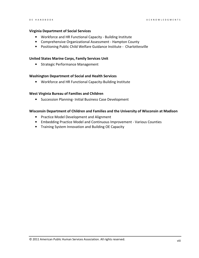#### Virginia Department of Social Services

- Workforce and HR Functional Capacity Building Institute
- Comprehensive Organizational Assessment Hampton County
- Positioning Public Child Welfare Guidance Institute Charlottesville

#### United States Marine Corps, Family Services Unit

• Strategic Performance Management

#### Washington Department of Social and Health Services

• Workforce and HR Functional Capacity-Building Institute

#### West Virginia Bureau of Families and Children

• Succession Planning- Initial Business Case Development

#### Wisconsin Department of Children and Families and the University of Wisconsin at Madison

- Practice Model Development and Alignment
- Embedding Practice Model and Continuous Improvement Various Counties
- Training System Innovation and Building OE Capacity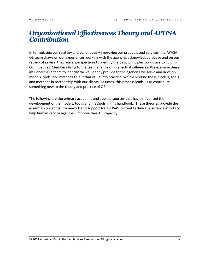## Organizational Effectiveness Theory and APHSA **Contribution**

In formulating our strategy and continuously improving our products and services, the APHSA OE team draws on our experiences working with the agencies acknowledged above and on our review of several theoretical perspectives to identify the basic principles conducive to guiding OE initiatives. Members bring to the team a range of intellectual influences. We examine these influences as a team to identify the value they provide to the agencies we serve and develop models, tools, and methods to put that value into practice. We then refine these models, tools, and methods in partnership with our clients. At times, this process leads us to contribute something new to the theory and practice of OE.

The following are the primary academic and applied sources that have influenced the development of the models, tools, and methods in this handbook. These theories provide the essential conceptual framework and support for APHSA's current technical assistance efforts to help human service agencies' improve their OE capacity.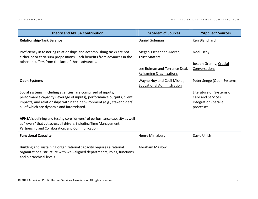| <b>Theory and APHSA Contribution</b>                                                                                                                                                                                                                              | "Academic" Sources                                               | "Applied" Sources                                                                           |
|-------------------------------------------------------------------------------------------------------------------------------------------------------------------------------------------------------------------------------------------------------------------|------------------------------------------------------------------|---------------------------------------------------------------------------------------------|
| <b>Relationship-Task Balance</b>                                                                                                                                                                                                                                  | Daniel Goleman                                                   | Ken Blanchard                                                                               |
| Proficiency in fostering relationships and accomplishing tasks are not<br>either-or or zero-sum propositions. Each benefits from advances in the                                                                                                                  | Megan Tschannen-Moran,<br><b>Trust Matters</b>                   | Noel Tichy                                                                                  |
| other or suffers from the lack of those advances.                                                                                                                                                                                                                 | Lee Bolman and Terrance Deal,<br><b>Reframing Organizations</b>  | Joseph Grenny, Crucial<br>Conversations                                                     |
| <b>Open Systems</b>                                                                                                                                                                                                                                               | Wayne Hoy and Cecil Miskel,<br><b>Educational Administration</b> | Peter Senge (Open Systems)                                                                  |
| Social systems, including agencies, are comprised of inputs,<br>performance capacity (leverage of inputs), performance outputs, client<br>impacts, and relationships within their environment (e.g., stakeholders),<br>all of which are dynamic and interrelated. |                                                                  | Literature on Systems of<br><b>Care and Services</b><br>Integration (parallel<br>processes) |
| APHSA is defining and testing core "drivers" of performance capacity as well<br>as "levers" that cut across all drivers, including Time Management,<br>Partnership and Collaboration, and Communication.                                                          |                                                                  |                                                                                             |
| <b>Functional Capacity</b>                                                                                                                                                                                                                                        | <b>Henry Mintzberg</b>                                           | David Ulrich                                                                                |
| Building and sustaining organizational capacity requires a rational<br>organizational structure with well-aligned departments, roles, functions<br>and hierarchical levels.                                                                                       | <b>Abraham Maslow</b>                                            |                                                                                             |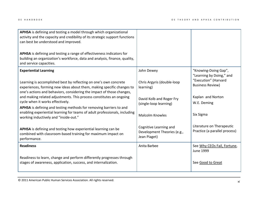| APHSA is defining and testing a model through which organizational<br>activity and the capacity and credibility of its strategic support functions<br>can best be understood and improved.<br>APHSA is defining and testing a range of effectiveness indicators for<br>building an organization's workforce, data and analysis, finance, quality,<br>and service capacities. |                                                                       |                                                                          |
|------------------------------------------------------------------------------------------------------------------------------------------------------------------------------------------------------------------------------------------------------------------------------------------------------------------------------------------------------------------------------|-----------------------------------------------------------------------|--------------------------------------------------------------------------|
| <b>Experiential Learning</b><br>Learning is accomplished best by reflecting on one's own concrete                                                                                                                                                                                                                                                                            | John Dewey<br>Chris Argyris (double-loop                              | "Knowing-Doing Gap",<br>"Learning by Doing," and<br>"Execution" (Harvard |
| experiences, forming new ideas about them, making specific changes to<br>one's actions and behaviors, considering the impact of those changes,                                                                                                                                                                                                                               | learning)                                                             | <b>Business Review)</b>                                                  |
| and making related adjustments. This process constitutes an ongoing<br>cycle when it works effectively.                                                                                                                                                                                                                                                                      | David Kolb and Roger Fry<br>(single-loop learning)                    | Kaplan and Norton<br>W.E. Deming                                         |
| APHSA is defining and testing methods for removing barriers to and<br>enabling experiential learning for teams of adult professionals, including<br>working inductively and "inside-out."                                                                                                                                                                                    | <b>Malcolm Knowles</b>                                                | Six Sigma                                                                |
| APHSA is defining and testing how experiential learning can be<br>combined with classroom-based training for maximum impact on<br>performance.                                                                                                                                                                                                                               | Cognitive Learning and<br>Development Theories (e.g.,<br>Jean Piaget) | Literature on Therapeutic<br>Practice (a parallel process)               |
| <b>Readiness</b>                                                                                                                                                                                                                                                                                                                                                             | Anita Barbee                                                          | See Why CEOs Fail, Fortune,<br><b>June 1999</b>                          |
| Readiness to learn, change and perform differently progresses through<br>stages of awareness, application, success, and internalization.                                                                                                                                                                                                                                     |                                                                       | See Good to Great                                                        |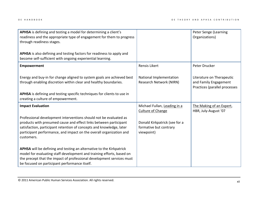| APHSA is defining and testing a model for determining a client's<br>readiness and the appropriate type of engagement for them to progress<br>through readiness stages.                                                                                                                              |                                                                       | Peter Senge (Learning<br>Organizations)                                             |
|-----------------------------------------------------------------------------------------------------------------------------------------------------------------------------------------------------------------------------------------------------------------------------------------------------|-----------------------------------------------------------------------|-------------------------------------------------------------------------------------|
| APHSA is also defining and testing factors for readiness to apply and<br>become self-sufficient with ongoing experiential learning.                                                                                                                                                                 |                                                                       |                                                                                     |
| <b>Empowerment</b>                                                                                                                                                                                                                                                                                  | <b>Rensis Likert</b>                                                  | Peter Drucker                                                                       |
| Energy and buy-in for change aligned to system goals are achieved best<br>through enabling discretion within clear and healthy boundaries.                                                                                                                                                          | National Implementation<br>Research Network (NIRN)                    | Literature on Therapeutic<br>and Family Engagement<br>Practices (parallel processes |
| APHSA is defining and testing specific techniques for clients to use in<br>creating a culture of empowerment.                                                                                                                                                                                       |                                                                       |                                                                                     |
| <b>Impact Evaluation</b>                                                                                                                                                                                                                                                                            | Michael Fullan, Leading in a<br><b>Culture of Change</b>              | The Making of an Expert,<br>HBR, July-August '07                                    |
| Professional development interventions should not be evaluated as<br>products with presumed cause and effect links between participant<br>satisfaction, participant retention of concepts and knowledge, later<br>participant performance, and impact on the overall organization and<br>customers. | Donald Kirkpatrick (see for a<br>formative but contrary<br>viewpoint) |                                                                                     |
| APHSA will be defining and testing an alternative to the Kirkpatrick<br>model for evaluating staff development and training efforts, based on<br>the precept that the impact of professional development services must<br>be focused on participant performance itself.                             |                                                                       |                                                                                     |

© 2011 American Public Human Services Association. All rights reserved. <br>xii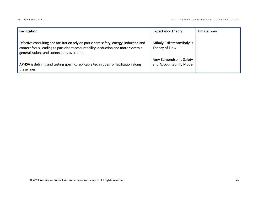| <b>Facilitation</b>                                                                                                                                                                                                        | <b>Expectancy Theory</b>                           | <b>Tim Gallwey</b> |
|----------------------------------------------------------------------------------------------------------------------------------------------------------------------------------------------------------------------------|----------------------------------------------------|--------------------|
| Effective consulting and facilitation rely on participant safety, energy, induction and<br>context focus, leading to participant accountability, deduction and more systemic<br>generalizations and connections over time. | Mihaly Csikszentmihalyi's<br>Theory of Flow        |                    |
| APHSA is defining and testing specific, replicable techniques for facilitation along<br>these lines.                                                                                                                       | Amy Edmondson's Safety<br>and Accountability Model |                    |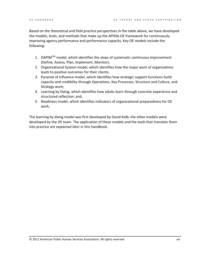Based on the theoretical and field practice perspectives in the table above, we have developed the models, tools, and methods that make up the APHSA OE framework for continuously improving agency performance and performance capacity. Key OE models include the following:

- 1. DAPIM<sup>™</sup> model, which identifies the steps of systematic continuous improvement (Define, Assess, Plan, Implement, Monitor);
- 2. Organizational System model, which identifies how the major work of organizations leads to positive outcomes for their clients;
- 3. Pyramid of Influence model, which identifies how strategic support functions build capacity and credibility through Operations, Key Processes, Structure and Culture, and Strategy work;
- 4. Learning by Doing, which identifies how adults learn through concrete experience and structured reflection; and,
- 5. Readiness model, which identifies indicators of organizational preparedness for OE work.

The learning by doing model was first developed by David Kolb; the other models were developed by the OE team. The application of these models and the tools that translate them into practice are explained later in this handbook.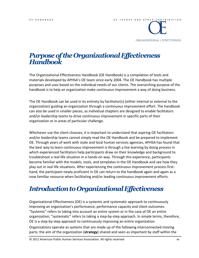

## Purpose of the Organizational Effectiveness **Handbook**

The Organizational Effectiveness Handbook (OE Handbook) is a compilation of tools and materials developed by APHSA's OE team since early 2004. The OE Handbook has multiple purposes and uses based on the individual needs of our clients. The overarching purpose of the handbook is to help an organization make continuous improvement a way of doing business.

The OE Handbook can be used in its entirety by facilitator(s) (either internal or external to the organization) guiding an organization through a continuous improvement effort. The handbook can also be used in smaller pieces, as individual chapters are designed to enable facilitators and/or leadership teams to drive continuous improvement in specific parts of their organization or in areas of particular challenge.

Whichever use the client chooses, it is important to understand that aspiring OE facilitators and/or leadership teams cannot simply read the OE Handbook and be prepared to implement OE. Through years of work with state and local human services agencies, APHSA has found that the best way to learn continuous improvement is through a live learning by doing process in which experienced facilitators help participants draw on their knowledge and background to troubleshoot a real life situation in a hands-on way. Through this experience, participants become familiar with the models, tools, and templates in the OE Handbook and see how they play out in real life situations. After experiencing the continuous improvement process firsthand, the participant newly proficient in OE can return to the handbook again and again as a now familiar resource when facilitating and/or leading continuous improvement efforts.

# Introduction to Organizational Effectiveness

Organizational Effectiveness (OE) is a systemic and systematic approach to continuously improving an organization's performance, performance capacity and client outcomes. "Systemic" refers to taking into account an entire system or in the case of OE an entire organization; "systematic" refers to taking a step-by-step approach. In simple terms, therefore, OE is a step-by-step approach to continuously improving an entire organization.

Organizations operate as systems that are made up of the following interconnected moving parts: the aim of the organization (strategy) shared and seen as important by staff within the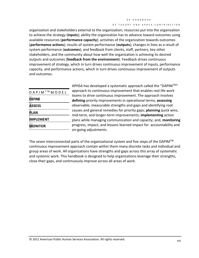organization and stakeholders external to the organization; resources put into the organization to achieve the strategy (inputs); ability the organization has to advance toward outcomes using available resources (performance capacity); activities of the organization towards outcomes (performance actions); results of system performance (outputs); changes in lives as a result of system performance (outcomes); and feedback from clients, staff, partners, key other stakeholders, and the community about how well the organization is achieving its desired outputs and outcomes (feedback from the environment). Feedback drives continuous improvement of strategy, which in turn drives continuous improvement of inputs, performance capacity, and performance actions, which in turn drives continuous improvement of outputs and outcomes.

| <b>DAPIM<sup>TM</sup>MODEL</b> |
|--------------------------------|
| <b>DEFINE</b>                  |
| <b>ASSESS</b>                  |
| <b>PLAN</b>                    |
| <b>IMPLEMENT</b>               |
| <b>MONITOR</b>                 |

APHSA has developed a systematic approach called the "DAPIMTM" approach to continuous improvement that enables real life work teams to drive continuous improvement. The approach involves defining priority improvements in operational terms; assessing observable, measurable strengths and gaps and identifying root causes and general remedies for priority gaps; planning quick wins, mid-term, and longer-term improvements; **implementing** action plans while managing communication and capacity; and, monitoring progress, impact, and lessons learned impact for accountability and on-going adjustments.

The seven interconnected parts of the organizational system and five steps of the DAPIM<sup>TM</sup> continuous improvement approach contain within them many discrete tasks and individual and group areas of work. All organizations have strengths and gaps across this array of systematic and systemic work. This handbook is designed to help organizations leverage their strengths, close their gaps, and continuously improve across all areas of work.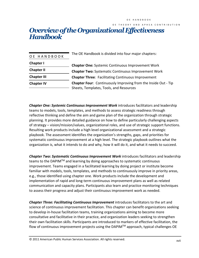O E THE ORY AND APHSA CONTRIBUTION

## Overview of the Organizational Effectiveness Handbook

|                    | The OE Handbook is divided into four major chapters:                  |  |
|--------------------|-----------------------------------------------------------------------|--|
| OE HANDBOOK        |                                                                       |  |
| Chapter I          | <b>Chapter One: Systemic Continuous Improvement Work</b>              |  |
| <b>Chapter II</b>  | <b>Chapter Two: Systematic Continuous Improvement Work</b>            |  |
| <b>Chapter III</b> | <b>Chapter Three: Facilitating Continuous Improvement</b>             |  |
| <b>Chapter IV</b>  | <b>Chapter Four:</b> Continuously Improving from the Inside Out - Tip |  |
|                    | Sheets, Templates, Tools, and Resources                               |  |

Chapter One: Systemic Continuous Improvement Work introduces facilitators and leadership teams to models, tools, templates, and methods to assess strategic readiness through reflective thinking and define the aim and game plan of the organization through strategic planning. It provides more detailed guidance on how to define particularly challenging aspects of strategy – vision/mission/values, organizational roles, and use of strategic support functions. Resulting work products include a high level organizational assessment and a strategic playbook. The assessment identifies the organization's strengths, gaps, and priorities for systematic continuous improvement at a high level. The strategic playbook outlines what the organization is, what it intends to do and why, how it will do it, and what it needs to succeed.

Chapter Two: Systematic Continuous Improvement Work introduces facilitators and leadership teams to the DAPIM<sup>™</sup> and learning by doing approaches to systematic continuous improvement. Teams engaged in a facilitated learning by doing project or institute become familiar with models, tools, templates, and methods to continuously improve in priority areas, e.g., those identified using chapter one. Work products include the development and implementation of rapid and long-term continuous improvement plans as well as related communication and capacity plans. Participants also learn and practice monitoring techniques to assess their progress and adjust their continuous improvement work as needed.

Chapter Three: Facilitating Continuous Improvement introduces facilitators to the art and science of continuous improvement facilitation. This chapter can benefit organizations seeking to develop in-house facilitation teams, training organizations aiming to become more consultative and facilitative in their practice, and organization leaders seeking to strengthen their own facilitation skills. Participants are introduced to markers of effective facilitation, the flow of continuous improvement projects using the DAPIM™ approach, typical challenges OE

© 2011 American Public Human Services Association. All rights reserved.